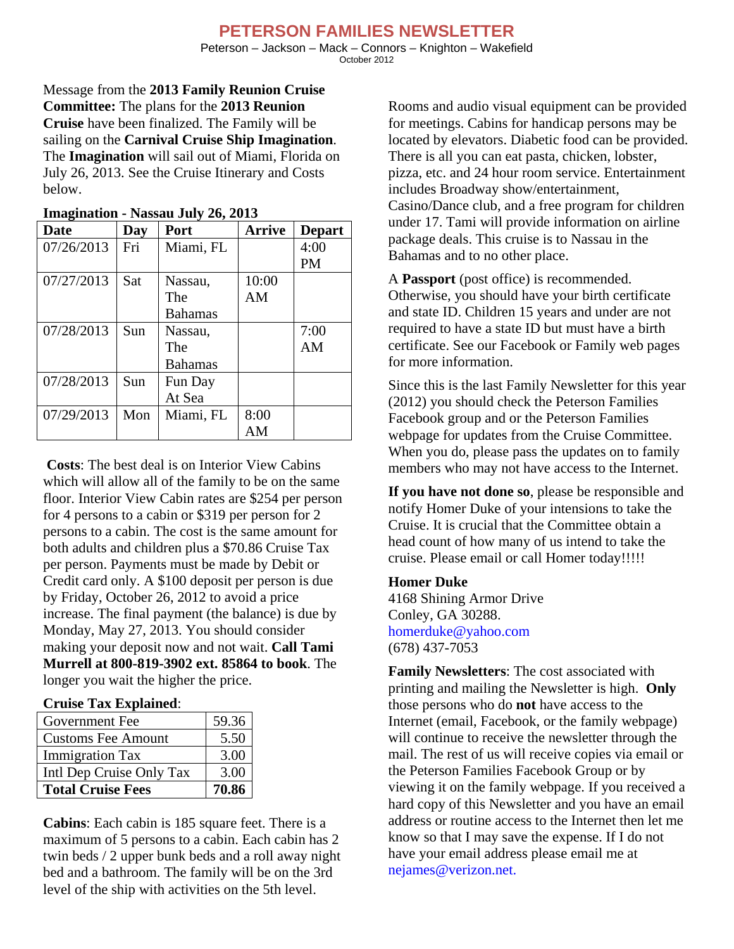## **PETERSON FAMILIES NEWSLETTER**

Peterson – Jackson – Mack – Connors – Knighton – Wakefield October 2012

Message from the **2013 Family Reunion Cruise Committee:** The plans for the **2013 Reunion Cruise** have been finalized. The Family will be sailing on the **Carnival Cruise Ship Imagination**. The **Imagination** will sail out of Miami, Florida on July 26, 2013. See the Cruise Itinerary and Costs below.

| Date       | Day | Port           | <b>Arrive</b> | <b>Depart</b> |
|------------|-----|----------------|---------------|---------------|
| 07/26/2013 | Fri | Miami, FL      |               | 4:00          |
|            |     |                |               | PM            |
| 07/27/2013 | Sat | Nassau,        | 10:00         |               |
|            |     | The            | AM            |               |
|            |     | <b>Bahamas</b> |               |               |
| 07/28/2013 | Sun | Nassau.        |               | 7:00          |
|            |     | The            |               | AM            |
|            |     | <b>Bahamas</b> |               |               |
| 07/28/2013 | Sun | Fun Day        |               |               |
|            |     | At Sea         |               |               |
| 07/29/2013 | Mon | Miami, FL      | 8:00          |               |
|            |     |                | AM            |               |

## **Imagination - Nassau July 26, 2013**

**Costs**: The best deal is on Interior View Cabins which will allow all of the family to be on the same floor. Interior View Cabin rates are \$254 per person for 4 persons to a cabin or \$319 per person for 2 persons to a cabin. The cost is the same amount for both adults and children plus a \$70.86 Cruise Tax per person. Payments must be made by Debit or Credit card only. A \$100 deposit per person is due by Friday, October 26, 2012 to avoid a price increase. The final payment (the balance) is due by Monday, May 27, 2013. You should consider making your deposit now and not wait. **Call Tami Murrell at 800-819-3902 ext. 85864 to book**. The longer you wait the higher the price.

## **Cruise Tax Explained**:

| Government Fee            | 59.36 |
|---------------------------|-------|
| <b>Customs Fee Amount</b> | 5.50  |
| <b>Immigration Tax</b>    | 3.00  |
| Intl Dep Cruise Only Tax  | 3.00  |
| <b>Total Cruise Fees</b>  | 70.86 |

**Cabins**: Each cabin is 185 square feet. There is a maximum of 5 persons to a cabin. Each cabin has 2 twin beds / 2 upper bunk beds and a roll away night bed and a bathroom. The family will be on the 3rd level of the ship with activities on the 5th level.

Rooms and audio visual equipment can be provided for meetings. Cabins for handicap persons may be located by elevators. Diabetic food can be provided. There is all you can eat pasta, chicken, lobster, pizza, etc. and 24 hour room service. Entertainment includes Broadway show/entertainment, Casino/Dance club, and a free program for children under 17. Tami will provide information on airline package deals. This cruise is to Nassau in the Bahamas and to no other place.

A **Passport** (post office) is recommended. Otherwise, you should have your birth certificate and state ID. Children 15 years and under are not required to have a state ID but must have a birth certificate. See our Facebook or Family web pages for more information.

Since this is the last Family Newsletter for this year (2012) you should check the Peterson Families Facebook group and or the Peterson Families webpage for updates from the Cruise Committee. When you do, please pass the updates on to family members who may not have access to the Internet.

**If you have not done so**, please be responsible and notify Homer Duke of your intensions to take the Cruise. It is crucial that the Committee obtain a head count of how many of us intend to take the cruise. Please email or call Homer today!!!!!

## **Homer Duke**

4168 Shining Armor Drive Conley, GA 30288. homerduke@yahoo.com (678) 437-7053

**Family Newsletters**: The cost associated with printing and mailing the Newsletter is high. **Only** those persons who do **not** have access to the Internet (email, Facebook, or the family webpage) will continue to receive the newsletter through the mail. The rest of us will receive copies via email or the Peterson Families Facebook Group or by viewing it on the family webpage. If you received a hard copy of this Newsletter and you have an email address or routine access to the Internet then let me know so that I may save the expense. If I do not have your email address please email me at nejames@verizon.net.